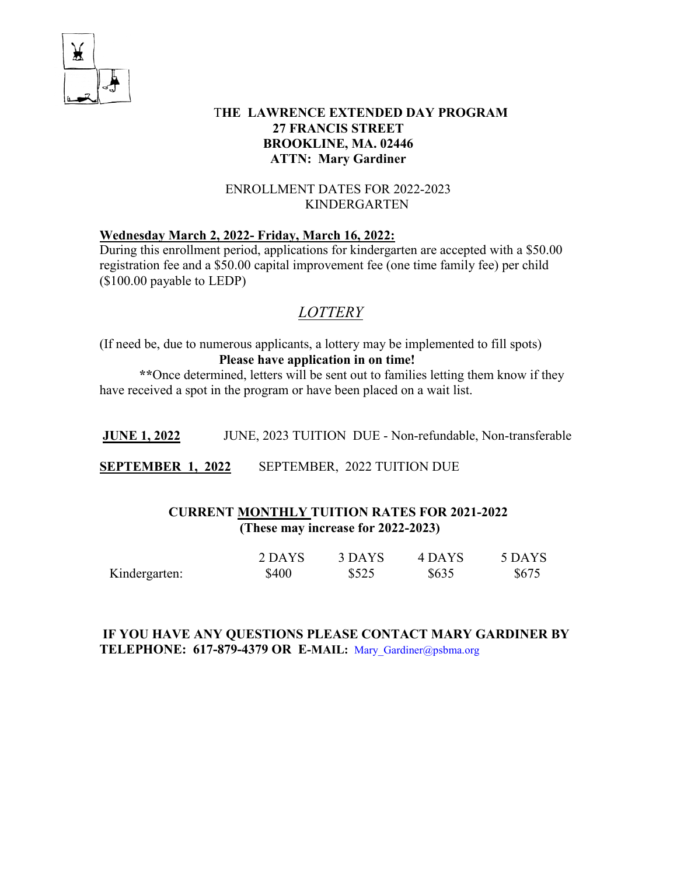

## T**HE LAWRENCE EXTENDED DAY PROGRAM 27 FRANCIS STREET BROOKLINE, MA. 02446 ATTN: Mary Gardiner**

## ENROLLMENT DATES FOR 2022-2023 KINDERGARTEN

## **Wednesday March 2, 2022- Friday, March 16, 2022:**

During this enrollment period, applications for kindergarten are accepted with a \$50.00 registration fee and a \$50.00 capital improvement fee (one time family fee) per child (\$100.00 payable to LEDP)

# *LOTTERY*

(If need be, due to numerous applicants, a lottery may be implemented to fill spots) **Please have application in on time!** 

**\*\***Once determined, letters will be sent out to families letting them know if they have received a spot in the program or have been placed on a wait list.

**JUNE 1, 2022** JUNE, 2023 TUITION DUE - Non-refundable, Non-transferable

**SEPTEMBER 1, 2022** SEPTEMBER, 2022 TUITION DUE

## **CURRENT MONTHLY TUITION RATES FOR 2021-2022 (These may increase for 2022-2023)**

|               | 2 DAYS | 3 DAYS | 4 DAYS | 5 DAYS |
|---------------|--------|--------|--------|--------|
| Kindergarten: | \$400  | \$525  | \$635  | \$675  |

## **IF YOU HAVE ANY QUESTIONS PLEASE CONTACT MARY GARDINER BY TELEPHONE: 617-879-4379 OR E-MAIL:** [Mary\\_Gardiner@psbma.org](mailto:Mary_Gardiner@psbma.org)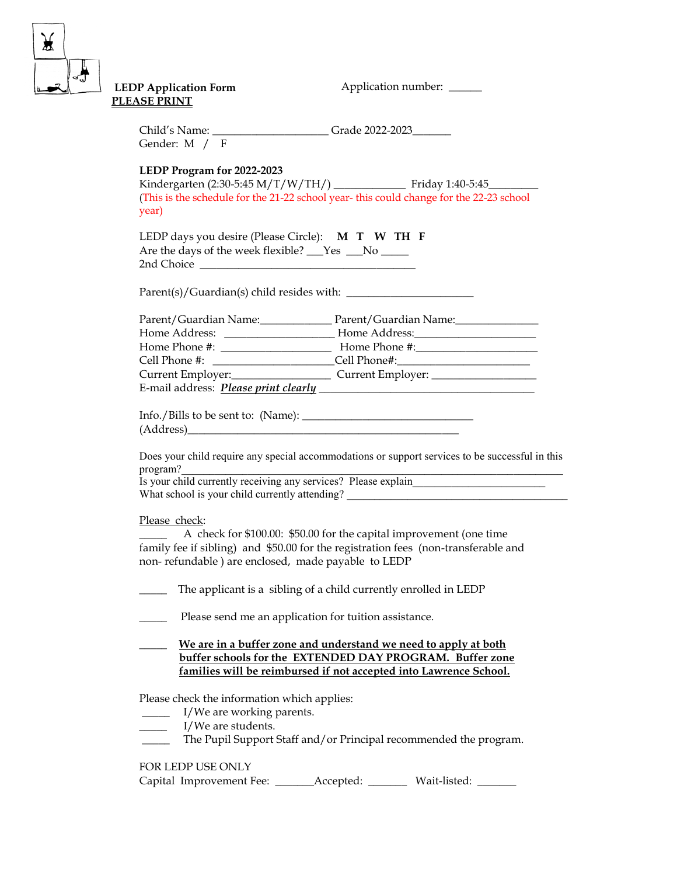

# **LEDP Application Form<br>PLEASE PRINT**

Application number: \_\_\_\_\_

| Gender: M / F                                                                                         | Child's Name: __________________________Grade 2022-2023__________________________                                                                                                                |
|-------------------------------------------------------------------------------------------------------|--------------------------------------------------------------------------------------------------------------------------------------------------------------------------------------------------|
| LEDP Program for 2022-2023<br>year)                                                                   | Kindergarten (2:30-5:45 M/T/W/TH/) ________________ Friday 1:40-5:45________<br>(This is the schedule for the 21-22 school year- this could change for the 22-23 school                          |
| LEDP days you desire (Please Circle): M T W TH F<br>Are the days of the week flexible? __Yes __No ___ |                                                                                                                                                                                                  |
|                                                                                                       |                                                                                                                                                                                                  |
|                                                                                                       | Parent/Guardian Name: Parent/Guardian Name: 2008. [2013]                                                                                                                                         |
|                                                                                                       | Home Address: __________________________Home Address:___________________________                                                                                                                 |
|                                                                                                       |                                                                                                                                                                                                  |
|                                                                                                       | Cell Phone #: ________________________Cell Phone#:______________________________                                                                                                                 |
|                                                                                                       |                                                                                                                                                                                                  |
|                                                                                                       |                                                                                                                                                                                                  |
| program?                                                                                              | What school is your child currently attending?                                                                                                                                                   |
| Please check:                                                                                         |                                                                                                                                                                                                  |
|                                                                                                       | A check for \$100.00: \$50.00 for the capital improvement (one time<br>family fee if sibling) and \$50.00 for the registration fees (non-transferable and                                        |
|                                                                                                       | The applicant is a sibling of a child currently enrolled in LEDP                                                                                                                                 |
|                                                                                                       | Please send me an application for tuition assistance.                                                                                                                                            |
| non-refundable) are enclosed, made payable to LEDP                                                    | We are in a buffer zone and understand we need to apply at both<br>buffer schools for the EXTENDED DAY PROGRAM. Buffer zone<br>families will be reimbursed if not accepted into Lawrence School. |
|                                                                                                       |                                                                                                                                                                                                  |
| I/We are working parents.                                                                             |                                                                                                                                                                                                  |
| I/We are students.                                                                                    |                                                                                                                                                                                                  |
| Please check the information which applies:                                                           | The Pupil Support Staff and/or Principal recommended the program.                                                                                                                                |
| FOR LEDP USE ONLY                                                                                     |                                                                                                                                                                                                  |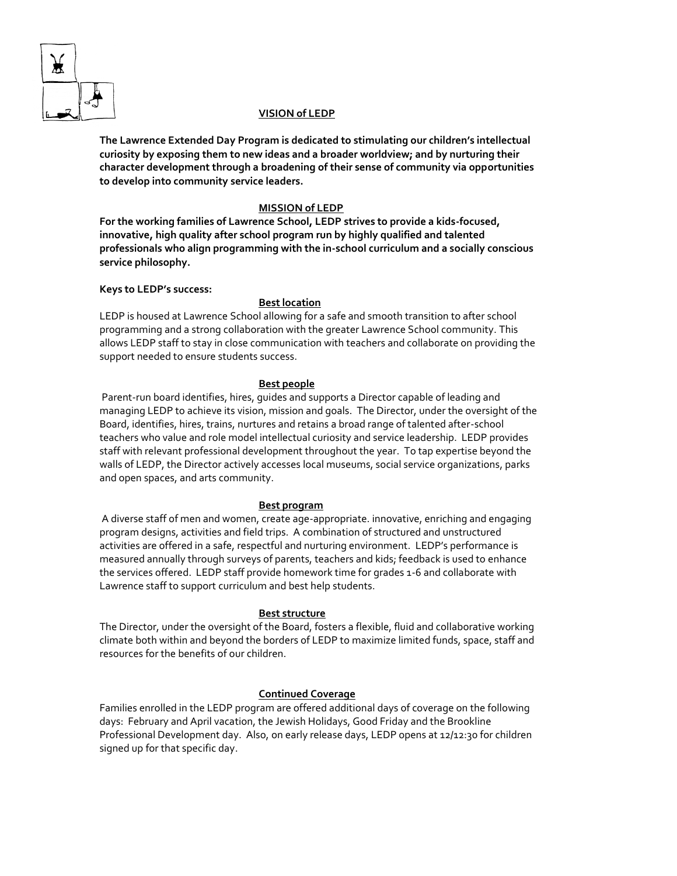

#### **VISION of LEDP**

**The Lawrence Extended Day Program is dedicated to stimulating our children's intellectual curiosity by exposing them to new ideas and a broader worldview; and by nurturing their character development through a broadening of their sense of community via opportunities to develop into community service leaders.** 

#### **MISSION of LEDP**

**For the working families of Lawrence School, LEDP strives to provide a kids-focused, innovative, high quality after school program run by highly qualified and talented professionals who align programming with the in-school curriculum and a socially conscious service philosophy.** 

#### **Keys to LEDP's success:**

#### **Best location**

LEDP is housed at Lawrence School allowing for a safe and smooth transition to after school programming and a strong collaboration with the greater Lawrence School community. This allows LEDP staff to stay in close communication with teachers and collaborate on providing the support needed to ensure students success.

#### **Best people**

Parent-run board identifies, hires, guides and supports a Director capable of leading and managing LEDP to achieve its vision, mission and goals. The Director, under the oversight of the Board, identifies, hires, trains, nurtures and retains a broad range of talented after-school teachers who value and role model intellectual curiosity and service leadership. LEDP provides staff with relevant professional development throughout the year. To tap expertise beyond the walls of LEDP, the Director actively accesses local museums, social service organizations, parks and open spaces, and arts community.

#### **Best program**

A diverse staff of men and women, create age-appropriate. innovative, enriching and engaging program designs, activities and field trips. A combination of structured and unstructured activities are offered in a safe, respectful and nurturing environment. LEDP's performance is measured annually through surveys of parents, teachers and kids; feedback is used to enhance the services offered. LEDP staff provide homework time for grades 1-6 and collaborate with Lawrence staff to support curriculum and best help students.

#### **Best structure**

The Director, under the oversight of the Board, fosters a flexible, fluid and collaborative working climate both within and beyond the borders of LEDP to maximize limited funds, space, staff and resources for the benefits of our children.

#### **Continued Coverage**

Families enrolled in the LEDP program are offered additional days of coverage on the following days: February and April vacation, the Jewish Holidays, Good Friday and the Brookline Professional Development day. Also, on early release days, LEDP opens at 12/12:30 for children signed up for that specific day.